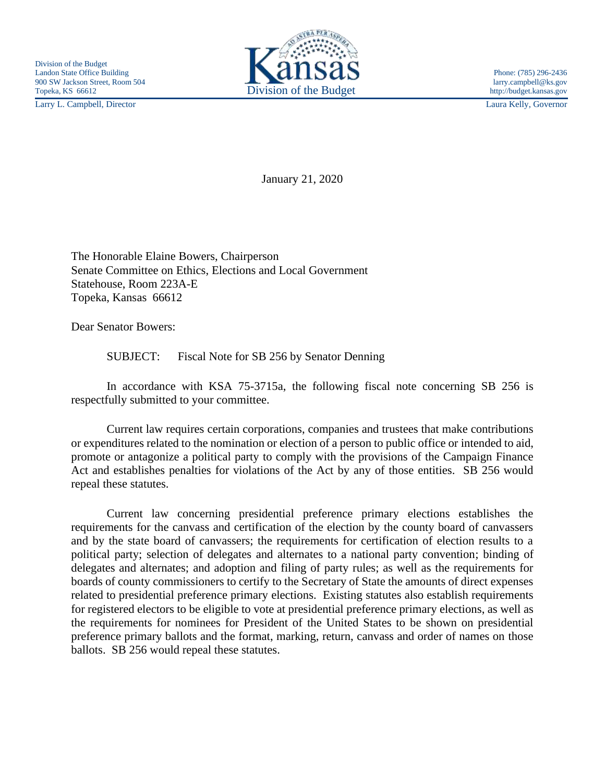Larry L. Campbell, Director Laura Kelly, Governor



January 21, 2020

The Honorable Elaine Bowers, Chairperson Senate Committee on Ethics, Elections and Local Government Statehouse, Room 223A-E Topeka, Kansas 66612

Dear Senator Bowers:

SUBJECT: Fiscal Note for SB 256 by Senator Denning

In accordance with KSA 75-3715a, the following fiscal note concerning SB 256 is respectfully submitted to your committee.

Current law requires certain corporations, companies and trustees that make contributions or expenditures related to the nomination or election of a person to public office or intended to aid, promote or antagonize a political party to comply with the provisions of the Campaign Finance Act and establishes penalties for violations of the Act by any of those entities. SB 256 would repeal these statutes.

Current law concerning presidential preference primary elections establishes the requirements for the canvass and certification of the election by the county board of canvassers and by the state board of canvassers; the requirements for certification of election results to a political party; selection of delegates and alternates to a national party convention; binding of delegates and alternates; and adoption and filing of party rules; as well as the requirements for boards of county commissioners to certify to the Secretary of State the amounts of direct expenses related to presidential preference primary elections. Existing statutes also establish requirements for registered electors to be eligible to vote at presidential preference primary elections, as well as the requirements for nominees for President of the United States to be shown on presidential preference primary ballots and the format, marking, return, canvass and order of names on those ballots. SB 256 would repeal these statutes.